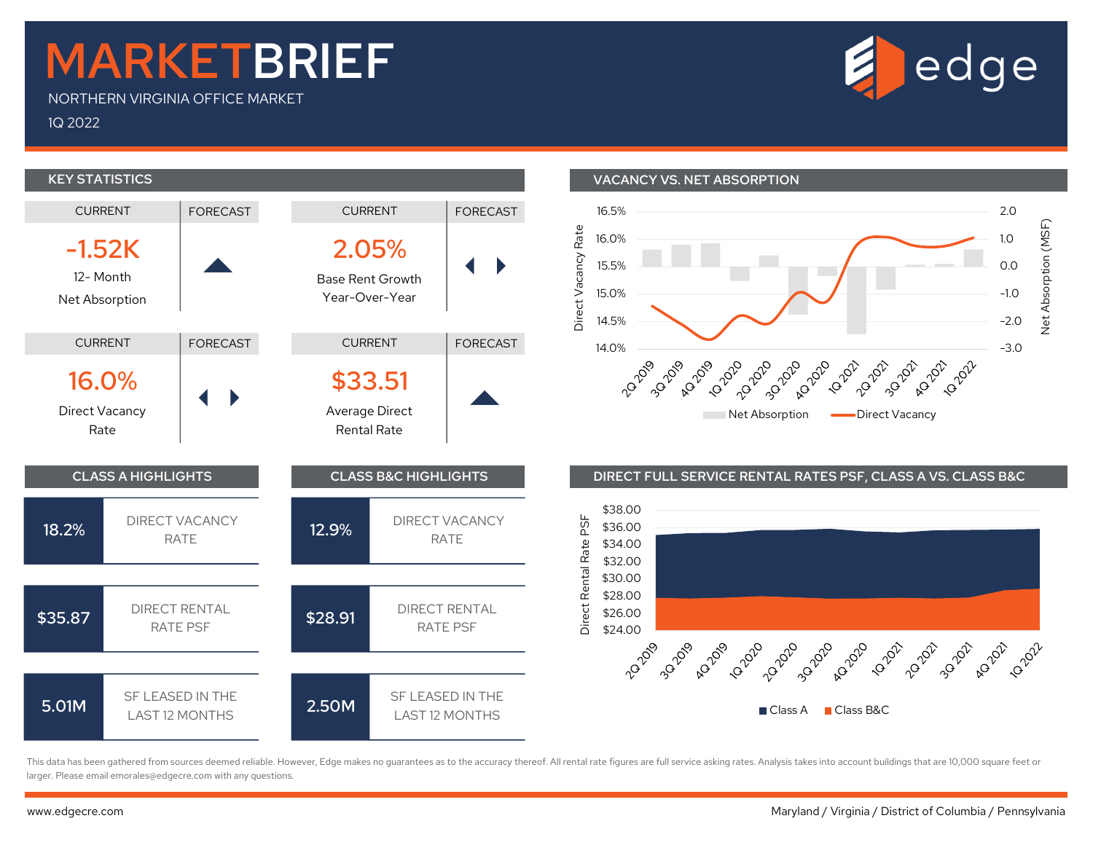## MARKETBRIEF

NORTHERN VIRGINIA OFFICE MARKET

1Q 2022



This data has been gathered from sources deemed reliable. However, Edge makes no guarantees as to the accuracy thereof. All rental rate figures are full service asking rates. Analysis takes into account buildings that are larger. Please email emorales@edgecre.com with any questions.